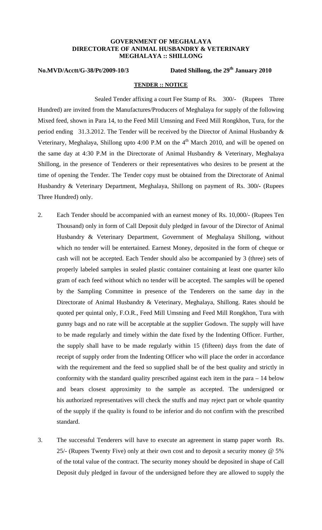## **GOVERNMENT OF MEGHALAYA DIRECTORATE OF ANIMAL HUSBANDRY & VETERINARY MEGHALAYA :: SHILLONG**

**No.MVD/Acctt/G-38/Pt/2009-10/3 Dated Shillong, the 29th January 2010** 

## **TENDER :: NOTICE**

Sealed Tender affixing a court Fee Stamp of Rs. 300/- (Rupees Three Hundred) are invited from the Manufactures/Producers of Meghalaya for supply of the following Mixed feed, shown in Para 14, to the Feed Mill Umsning and Feed Mill Rongkhon, Tura, for the period ending 31.3.2012. The Tender will be received by the Director of Animal Husbandry & Veterinary, Meghalaya, Shillong upto 4:00 P.M on the  $4<sup>th</sup>$  March 2010, and will be opened on the same day at 4:30 P.M in the Directorate of Animal Husbandry & Veterinary, Meghalaya Shillong, in the presence of Tenderers or their representatives who desires to be present at the time of opening the Tender. The Tender copy must be obtained from the Directorate of Animal Husbandry & Veterinary Department, Meghalaya, Shillong on payment of Rs. 300**/-** (Rupees Three Hundred) only.

- 2. Each Tender should be accompanied with an earnest money of Rs. 10,000/- (Rupees Ten Thousand) only in form of Call Deposit duly pledged in favour of the Director of Animal Husbandry & Veterinary Department, Government of Meghalaya Shillong, without which no tender will be entertained. Earnest Money, deposited in the form of cheque or cash will not be accepted. Each Tender should also be accompanied by 3 (three) sets of properly labeled samples in sealed plastic container containing at least one quarter kilo gram of each feed without which no tender will be accepted. The samples will be opened by the Sampling Committee in presence of the Tenderers on the same day in the Directorate of Animal Husbandry & Veterinary, Meghalaya, Shillong. Rates should be quoted per quintal only, F.O.R., Feed Mill Umsning and Feed Mill Rongkhon, Tura with gunny bags and no rate will be acceptable at the supplier Godown. The supply will have to be made regularly and timely within the date fixed by the Indenting Officer. Further, the supply shall have to be made regularly within 15 (fifteen) days from the date of receipt of supply order from the Indenting Officer who will place the order in accordance with the requirement and the feed so supplied shall be of the best quality and strictly in conformity with the standard quality prescribed against each item in the para – 14 below and bears closest approximity to the sample as accepted. The undersigned or his authorized representatives will check the stuffs and may reject part or whole quantity of the supply if the quality is found to be inferior and do not confirm with the prescribed standard.
- 3. The successful Tenderers will have to execute an agreement in stamp paper worth Rs. 25/- (Rupees Twenty Five) only at their own cost and to deposit a security money @ 5% of the total value of the contract. The security money should be deposited in shape of Call Deposit duly pledged in favour of the undersigned before they are allowed to supply the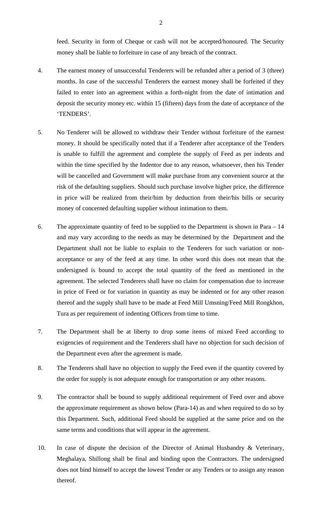feed. Security in form of Cheque or cash will not be accepted/honoured. The Security money shall be liable to forfeiture in case of any breach of the contract.

- 4. The earnest money of unsuccessful Tenderers will be refunded after a period of 3 (three) months. In case of the successful Tenderers the earnest money shall be forfeited if they failed to enter into an agreement within a forth-night from the date of intimation and deposit the security money etc. within 15 (fifteen) days from the date of acceptance of the 'TENDERS'.
- 5. No Tenderer will be allowed to withdraw their Tender without forfeiture of the earnest money. It should be specifically noted that if a Tenderer after acceptance of the Tenders is unable to fulfill the agreement and complete the supply of Feed as per indents and within the time specified by the Indentor due to any reason, whatsoever, then his Tender will be cancelled and Government will make purchase from any convenient source at the risk of the defaulting suppliers. Should such purchase involve higher price, the difference in price will be realized from their/him by deduction from their/his bills or security money of concerned defaulting supplier without intimation to them.
- 6. The approximate quantity of feed to be supplied to the Department is shown in Para 14 and may vary according to the needs as may be determined by the Department and the Department shall not be liable to explain to the Tenderers for such variation or nonacceptance or any of the feed at any time. In other word this does not mean that the undersigned is bound to accept the total quantity of the feed as mentioned in the agreement. The selected Tenderers shall have no claim for compensation due to increase in price of Feed or for variation in quantity as may be indented or for any other reason thereof and the supply shall have to be made at Feed Mill Umsning/Feed Mill Rongkhon, Tura as per requirement of indenting Officers from time to time.
- 7. The Department shall be at liberty to drop some items of mixed Feed according to exigencies of requirement and the Tenderers shall have no objection for such decision of the Department even after the agreement is made.
- 8. The Tenderers shall have no objection to supply the Feed even if the quantity covered by the order for supply is not adequate enough for transportation or any other reasons.
- 9. The contractor shall be bound to supply additional requirement of Feed over and above the approximate requirement as shown below (Para-14) as and when required to do so by this Department. Such, additional Feed should be supplied at the same price and on the same terms and conditions that will appear in the agreement.
- 10. In case of dispute the decision of the Director of Animal Husbandry & Veterinary, Meghalaya, Shillong shall be final and binding upon the Contractors. The undersigned does not bind himself to accept the lowest Tender or any Tenders or to assign any reason thereof.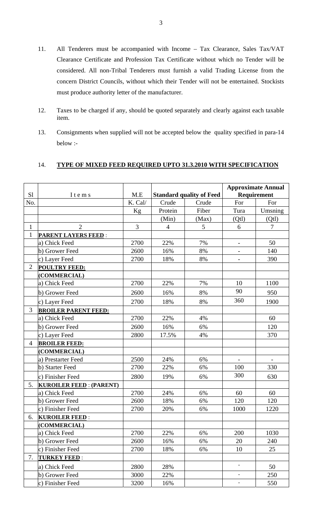- 11. All Tenderers must be accompanied with Income Tax Clearance, Sales Tax/VAT Clearance Certificate and Profession Tax Certificate without which no Tender will be considered. All non-Tribal Tenderers must furnish a valid Trading License from the concern District Councils, without which their Tender will not be entertained. Stockists must produce authority letter of the manufacturer.
- 12. Taxes to be charged if any, should be quoted separately and clearly against each taxable item.
- 13. Consignments when supplied will not be accepted below the quality specified in para-14 below :-

## 14. TYPE OF MIXED FEED REQUIRED UPTO 31.3.2010 WITH SPECIFICATION

| S1             | Items                          | M.E            | <b>Standard quality of Feed</b> |       | <b>Approximate Annual</b><br>Requirement |                          |
|----------------|--------------------------------|----------------|---------------------------------|-------|------------------------------------------|--------------------------|
| No.            |                                | K. Cal/        | Crude                           | Crude | For                                      | For                      |
|                |                                | Kg             | Protein                         | Fiber | Tura                                     | Umsning                  |
|                |                                |                | (Min)                           | (Max) | (Qt)                                     | (Qt)                     |
| $\mathbf{1}$   | $\overline{2}$                 | $\overline{3}$ | $\overline{4}$                  | 5     | 6                                        | 7                        |
| $\mathbf{1}$   | <b>PARENT LAYERS FEED:</b>     |                |                                 |       |                                          |                          |
|                | a) Chick Feed                  | 2700           | 22%                             | 7%    | $\qquad \qquad -$                        | 50                       |
|                | b) Grower Feed                 | 2600           | 16%                             | 8%    | $\overline{\phantom{0}}$                 | 140                      |
|                | c) Layer Feed                  | 2700           | 18%                             | 8%    | $\overline{a}$                           | 390                      |
| $\overline{2}$ | <b>POULTRY FEED:</b>           |                |                                 |       |                                          |                          |
|                | (COMMERCIAL)                   |                |                                 |       |                                          |                          |
|                | a) Chick Feed                  | 2700           | 22%                             | 7%    | 10                                       | 1100                     |
|                | b) Grower Feed                 | 2600           | 16%                             | 8%    | 90                                       | 950                      |
|                | c) Layer Feed                  | 2700           | 18%                             | 8%    | 360                                      | 1900                     |
| 3              | <b>BROILER PARENT FEED:</b>    |                |                                 |       |                                          |                          |
|                | a) Chick Feed                  | 2700           | 22%                             | 4%    |                                          | 60                       |
|                | b) Grower Feed                 | 2600           | 16%                             | 6%    |                                          | 120                      |
|                | c) Layer Feed                  | 2800           | 17.5%                           | 4%    |                                          | 370                      |
| $\overline{4}$ | <b>BROILER FEED:</b>           |                |                                 |       |                                          |                          |
|                | (COMMERCIAL)                   |                |                                 |       |                                          |                          |
|                | a) Prestarter Feed             | 2500           | 24%                             | 6%    | $\overline{\phantom{a}}$                 | $\overline{\phantom{a}}$ |
|                | b) Starter Feed                | 2700           | 22%                             | 6%    | 100                                      | 330                      |
|                | c) Finisher Feed               | 2800           | 19%                             | 6%    | 300                                      | 630                      |
| 5.             | <b>KUROILER FEED: (PARENT)</b> |                |                                 |       |                                          |                          |
|                | a) Chick Feed                  | 2700           | 24%                             | 6%    | 60                                       | 60                       |
|                | b) Grower Feed                 | 2600           | 18%                             | 6%    | 120                                      | 120                      |
|                | c) Finisher Feed               | 2700           | 20%                             | 6%    | 1000                                     | 1220                     |
| 6.             | <b>KUROILER FEED:</b>          |                |                                 |       |                                          |                          |
|                | (COMMERCIAL)                   |                |                                 |       |                                          |                          |
|                | a) Chick Feed                  | 2700           | 22%                             | 6%    | 200                                      | 1030                     |
|                | b) Grower Feed                 | 2600           | 16%                             | 6%    | 20                                       | 240                      |
|                | c) Finisher Feed               | 2700           | 18%                             | 6%    | 10                                       | 25                       |
| 7.             | TURKEY FEED:                   |                |                                 |       |                                          |                          |
|                | a) Chick Feed                  | 2800           | 28%                             |       | ÷,                                       | 50                       |
|                | b) Grower Feed                 | 3000           | 22%                             |       |                                          | 250                      |
|                | c) Finisher Feed               | 3200           | 16%                             |       | $\blacksquare$                           | 550                      |